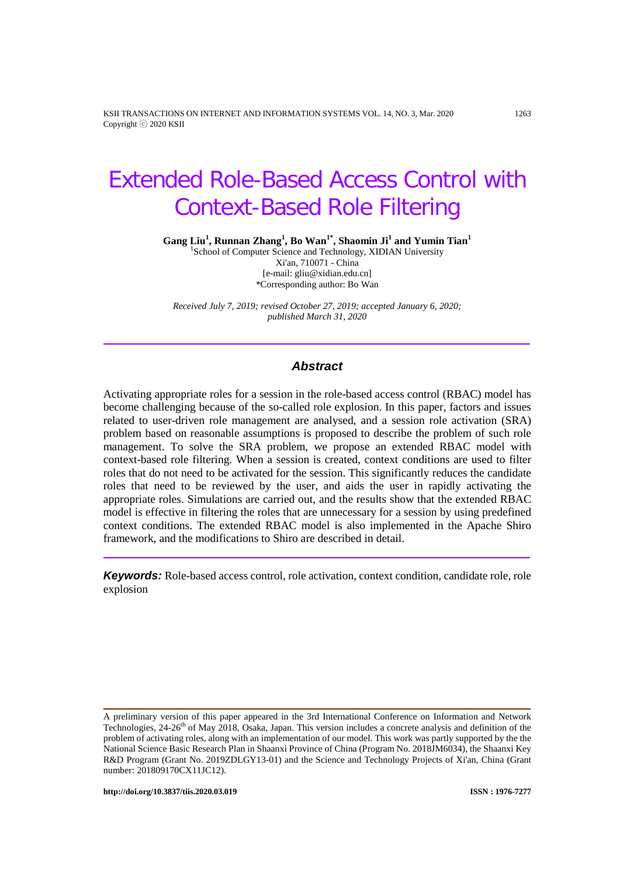KSII TRANSACTIONS ON INTERNET AND INFORMATION SYSTEMS VOL. 14, NO. 3, Mar. 2020 1263 Copyright ⓒ 2020 KSII

# Extended Role-Based Access Control with Context-Based Role Filtering

**Gang Liu<sup>1</sup> , Runnan Zhang<sup>1</sup> , Bo Wan1\* , Shaomin Ji1 and Yumin Tian1**

<sup>1</sup>School of Computer Science and Technology, XIDIAN University Xi'an, 710071 - China [e-mail: gliu@xidian.edu.cn] \*Corresponding author: Bo Wan

*Received July 7, 2019; revised October 27, 2019; accepted January 6, 2020; published March 31, 2020*

## *Abstract*

Activating appropriate roles for a session in the role-based access control (RBAC) model has become challenging because of the so-called role explosion. In this paper, factors and issues related to user-driven role management are analysed, and a session role activation (SRA) problem based on reasonable assumptions is proposed to describe the problem of such role management. To solve the SRA problem, we propose an extended RBAC model with context-based role filtering. When a session is created, context conditions are used to filter roles that do not need to be activated for the session. This significantly reduces the candidate roles that need to be reviewed by the user, and aids the user in rapidly activating the appropriate roles. Simulations are carried out, and the results show that the extended RBAC model is effective in filtering the roles that are unnecessary for a session by using predefined context conditions. The extended RBAC model is also implemented in the Apache Shiro framework, and the modifications to Shiro are described in detail.

*Keywords:* Role-based access control, role activation, context condition, candidate role, role explosion

A preliminary version of this paper appeared in the 3rd International Conference on Information and Network Technologies,  $24-26<sup>th</sup>$  of May 2018, Osaka, Japan. This version includes a concrete analysis and definition of the problem of activating roles, along with an implementation of our model. This work was partly supported by the the National Science Basic Research Plan in Shaanxi Province of China (Program No. 2018JM6034), the Shaanxi Key R&D Program (Grant No. 2019ZDLGY13-01) and the Science and Technology Projects of Xi'an, China (Grant number: 201809170CX11JC12).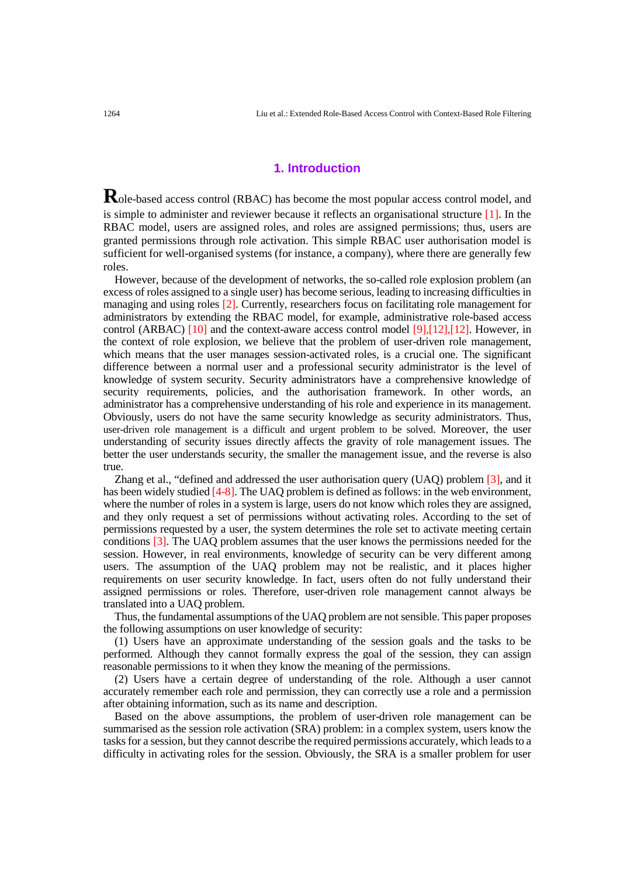## **1. Introduction**

Role-based access control (RBAC) has become the most popular access control model, and is simple to administer and reviewer because it reflects an organisational structure [\[1\].](#page-13-0) In the RBAC model, users are assigned roles, and roles are assigned permissions; thus, users are granted permissions through role activation. This simple RBAC user authorisation model is sufficient for well-organised systems (for instance, a company), where there are generally few roles.

However, because of the development of networks, the so-called role explosion problem (an excess of roles assigned to a single user) has become serious, leading to increasing difficulties in managing and using roles [\[2\].](#page-13-1) Currently, researchers focus on facilitating role management for administrators by extending the RBAC model, for example, administrative role-based access control (ARBAC) [\[10\]](#page-14-0) and the context-aware access control model [\[9\]](#page-14-1)[,\[12\],\[12\].](#page-14-2) However, in the context of role explosion, we believe that the problem of user-driven role management, which means that the user manages session-activated roles, is a crucial one. The significant difference between a normal user and a professional security administrator is the level of knowledge of system security. Security administrators have a comprehensive knowledge of security requirements, policies, and the authorisation framework. In other words, an administrator has a comprehensive understanding of his role and experience in its management. Obviously, users do not have the same security knowledge as security administrators. Thus, user-driven role management is a difficult and urgent problem to be solved. Moreover, the user understanding of security issues directly affects the gravity of role management issues. The better the user understands security, the smaller the management issue, and the reverse is also true.

Zhang et al., "defined and addressed the user authorisation query (UAQ) problem [\[3\],](#page-14-3) and it has been widely studied [\[4](#page-14-4)[-8\].](#page-14-5) The UAQ problem is defined as follows: in the web environment, where the number of roles in a system is large, users do not know which roles they are assigned, and they only request a set of permissions without activating roles. According to the set of permissions requested by a user, the system determines the role set to activate meeting certain conditions [\[3\].](#page-14-3) The UAQ problem assumes that the user knows the permissions needed for the session. However, in real environments, knowledge of security can be very different among users. The assumption of the UAQ problem may not be realistic, and it places higher requirements on user security knowledge. In fact, users often do not fully understand their assigned permissions or roles. Therefore, user-driven role management cannot always be translated into a UAQ problem.

Thus, the fundamental assumptions of the UAQ problem are not sensible. This paper proposes the following assumptions on user knowledge of security:

(1) Users have an approximate understanding of the session goals and the tasks to be performed. Although they cannot formally express the goal of the session, they can assign reasonable permissions to it when they know the meaning of the permissions.

(2) Users have a certain degree of understanding of the role. Although a user cannot accurately remember each role and permission, they can correctly use a role and a permission after obtaining information, such as its name and description.

Based on the above assumptions, the problem of user-driven role management can be summarised as the session role activation (SRA) problem: in a complex system, users know the tasks for a session, but they cannot describe the required permissions accurately, which leads to a difficulty in activating roles for the session. Obviously, the SRA is a smaller problem for user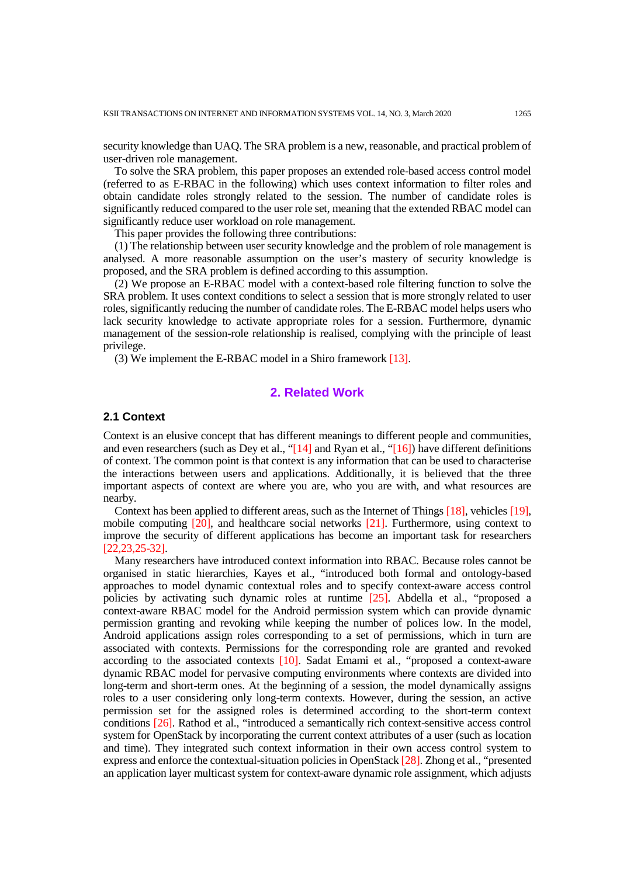security knowledge than UAQ. The SRA problem is a new, reasonable, and practical problem of user-driven role management.

To solve the SRA problem, this paper proposes an extended role-based access control model (referred to as E-RBAC in the following) which uses context information to filter roles and obtain candidate roles strongly related to the session. The number of candidate roles is significantly reduced compared to the user role set, meaning that the extended RBAC model can significantly reduce user workload on role management.

This paper provides the following three contributions:

(1) The relationship between user security knowledge and the problem of role management is analysed. A more reasonable assumption on the user's mastery of security knowledge is proposed, and the SRA problem is defined according to this assumption.

(2) We propose an E-RBAC model with a context-based role filtering function to solve the SRA problem. It uses context conditions to select a session that is more strongly related to user roles, significantly reducing the number of candidate roles. The E-RBAC model helps users who lack security knowledge to activate appropriate roles for a session. Furthermore, dynamic management of the session-role relationship is realised, complying with the principle of least privilege.

(3) We implement the E-RBAC model in a Shiro framework [\[13\].](#page-14-6)

# **2. Related Work**

## **2.1 Context**

Context is an elusive concept that has different meanings to different people and communities, and even researchers (such as Dey et al., ["\[14\]](#page-14-7) and Ryan et al., ["\[16\]\)](#page-14-8) have different definitions of context. The common point is that context is any information that can be used to characterise the interactions between users and applications. Additionally, it is believed that the three important aspects of context are where you are, who you are with, and what resources are nearby.

Context has been applied to different areas, such as the Internet of Things [\[18\],](#page-14-9) vehicles [\[19\],](#page-14-10) mobile computing [\[20\],](#page-14-11) and healthcare social networks [\[21\].](#page-15-0) Furthermore, using context to improve the security of different applications has become an important task for researchers [\[22](#page-15-1)[,23](#page-15-2)[,25-](#page-15-3)[32\].](#page-15-4)

Many researchers have introduced context information into RBAC. Because roles cannot be organised in static hierarchies, Kayes et al., "introduced both formal and ontology-based approaches to model dynamic contextual roles and to specify context-aware access control policies by activating such dynamic roles at runtime [\[25\].](#page-15-3) Abdella et al., "proposed a context-aware RBAC model for the Android permission system which can provide dynamic permission granting and revoking while keeping the number of polices low. In the model, Android applications assign roles corresponding to a set of permissions, which in turn are associated with contexts. Permissions for the corresponding role are granted and revoked according to the associated contexts [\[10\].](#page-14-0) Sadat Emami et al., "proposed a context-aware dynamic RBAC model for pervasive computing environments where contexts are divided into long-term and short-term ones. At the beginning of a session, the model dynamically assigns roles to a user considering only long-term contexts. However, during the session, an active permission set for the assigned roles is determined according to the short-term context conditions [\[26\].](#page-15-5) Rathod et al., "introduced a semantically rich context-sensitive access control system for OpenStack by incorporating the current context attributes of a user (such as location and time). They integrated such context information in their own access control system to express and enforce the contextual-situation policies in OpenStack [\[28\].](#page-15-6) Zhong et al., "presented an application layer multicast system for context-aware dynamic role assignment, which adjusts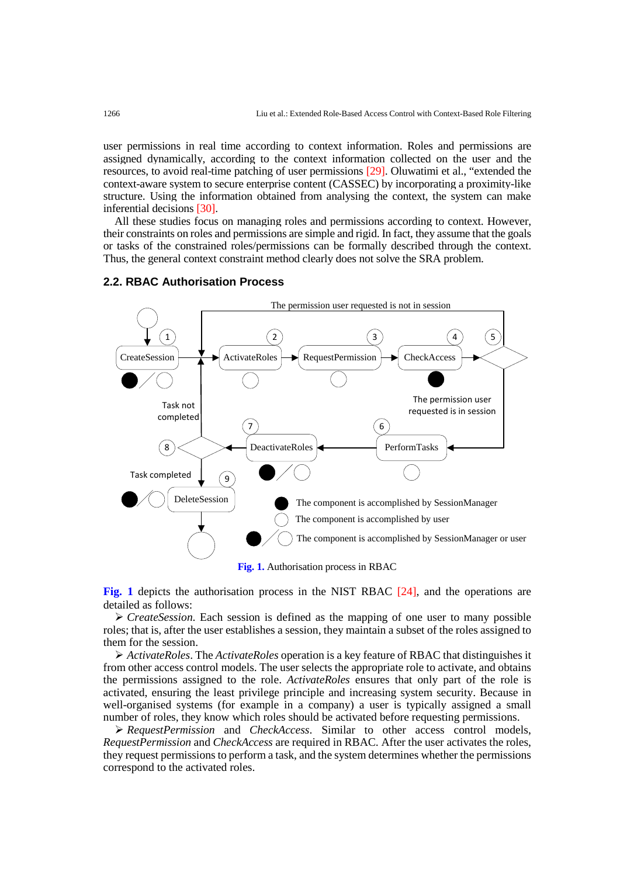user permissions in real time according to context information. Roles and permissions are assigned dynamically, according to the context information collected on the user and the resources, to avoid real-time patching of user permissions [\[29\].](#page-15-7) Oluwatimi et al., "extended the context-aware system to secure enterprise content (CASSEC) by incorporating a proximity-like structure. Using the information obtained from analysing the context, the system can make inferential decisions [\[30\].](#page-15-8)

All these studies focus on managing roles and permissions according to context. However, their constraints on roles and permissions are simple and rigid. In fact, they assume that the goals or tasks of the constrained roles/permissions can be formally described through the context. Thus, the general context constraint method clearly does not solve the SRA problem.

## **2.2. RBAC Authorisation Process**



**Fig. 1** depicts the authorisation process in the NIST RBAC [\[24\],](#page-15-9) and the operations are detailed as follows:

 *CreateSession*. Each session is defined as the mapping of one user to many possible roles; that is, after the user establishes a session, they maintain a subset of the roles assigned to them for the session.

 *ActivateRoles*. The *ActivateRoles* operation is a key feature of RBAC that distinguishes it from other access control models. The user selects the appropriate role to activate, and obtains the permissions assigned to the role. *ActivateRoles* ensures that only part of the role is activated, ensuring the least privilege principle and increasing system security. Because in well-organised systems (for example in a company) a user is typically assigned a small number of roles, they know which roles should be activated before requesting permissions.

 *RequestPermission* and *CheckAccess*. Similar to other access control models, *RequestPermission* and *CheckAccess* are required in RBAC. After the user activates the roles, they request permissions to perform a task, and the system determines whether the permissions correspond to the activated roles.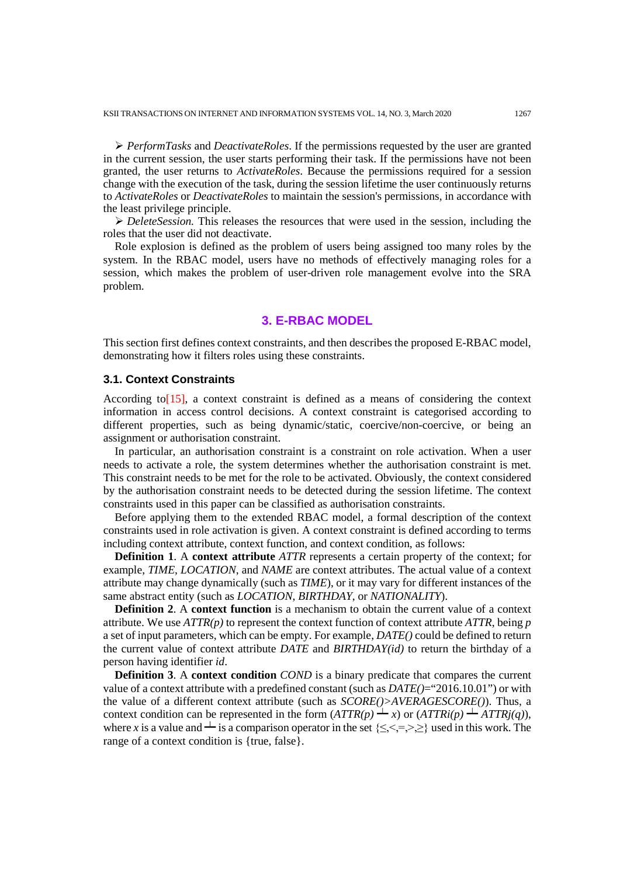*PerformTasks* and *DeactivateRoles*. If the permissions requested by the user are granted in the current session, the user starts performing their task. If the permissions have not been granted, the user returns to *ActivateRoles*. Because the permissions required for a session change with the execution of the task, during the session lifetime the user continuously returns to *ActivateRoles* or *DeactivateRoles* to maintain the session's permissions, in accordance with the least privilege principle.

 *DeleteSession.* This releases the resources that were used in the session, including the roles that the user did not deactivate.

Role explosion is defined as the problem of users being assigned too many roles by the system. In the RBAC model, users have no methods of effectively managing roles for a session, which makes the problem of user-driven role management evolve into the SRA problem.

## **3. E-RBAC MODEL**

This section first defines context constraints, and then describes the proposed E-RBAC model, demonstrating how it filters roles using these constraints.

## **3.1. Context Constraints**

According to[15], a context constraint is defined as a means of considering the context information in access control decisions. A context constraint is categorised according to different properties, such as being dynamic/static, coercive/non-coercive, or being an assignment or authorisation constraint.

In particular, an authorisation constraint is a constraint on role activation. When a user needs to activate a role, the system determines whether the authorisation constraint is met. This constraint needs to be met for the role to be activated. Obviously, the context considered by the authorisation constraint needs to be detected during the session lifetime. The context constraints used in this paper can be classified as authorisation constraints.

Before applying them to the extended RBAC model, a formal description of the context constraints used in role activation is given. A context constraint is defined according to terms including context attribute, context function, and context condition, as follows:

**Definition 1**. A **context attribute** *ATTR* represents a certain property of the context; for example, *TIME*, *LOCATION*, and *NAME* are context attributes. The actual value of a context attribute may change dynamically (such as *TIME*), or it may vary for different instances of the same abstract entity (such as *LOCATION*, *BIRTHDAY*, or *NATIONALITY*).

**Definition 2**. A **context function** is a mechanism to obtain the current value of a context attribute. We use *ATTR(p)* to represent the context function of context attribute *ATTR*, being *p* a set of input parameters, which can be empty. For example, *DATE()* could be defined to return the current value of context attribute *DATE* and *BIRTHDAY(id)* to return the birthday of a person having identifier *id*.

**Definition 3**. A **context condition** *COND* is a binary predicate that compares the current value of a context attribute with a predefined constant (such as *DATE()*="2016.10.01") or with the value of a different context attribute (such as *SCORE()>AVERAGESCORE()*). Thus, a context condition can be represented in the form  $(ATTR(p) \perp x)$  or  $(ATTRi(p) \perp ATTRj(q))$ , where *x* is a value and  $\perp$  is a comparison operator in the set  $\{\leq, \leq, =, >, \geq\}$  used in this work. The range of a context condition is {true, false}.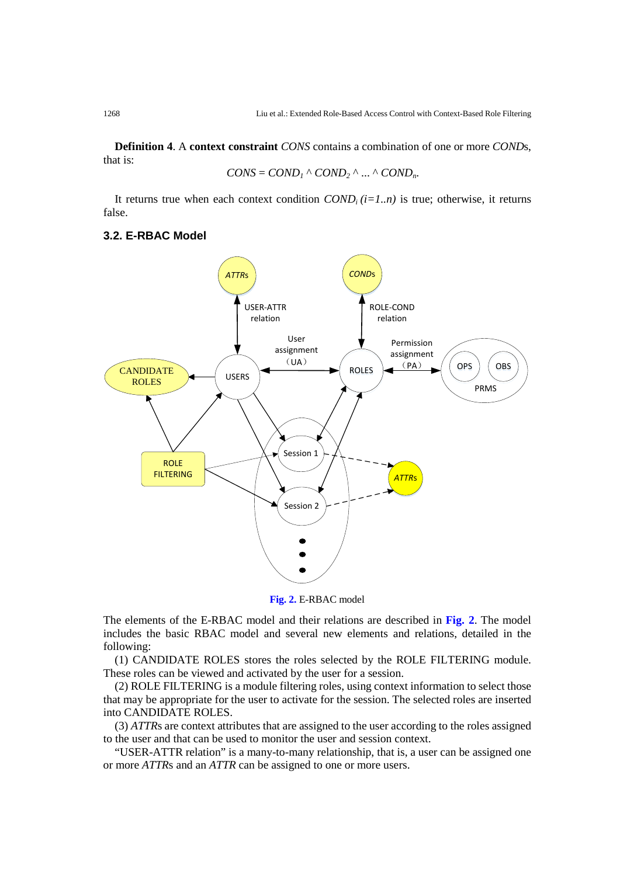**Definition 4**. A **context constraint** *CONS* contains a combination of one or more *COND*s, that is:

$$
CONS = COND_1 \land COND_2 \land ... \land COND_n.
$$

It returns true when each context condition  $COND_i(i=1..n)$  is true; otherwise, it returns false.

## **3.2. E-RBAC Model**



**Fig. 2.** E-RBAC model

The elements of the E-RBAC model and their relations are described in **Fig. 2**. The model includes the basic RBAC model and several new elements and relations, detailed in the following:

(1) CANDIDATE ROLES stores the roles selected by the ROLE FILTERING module. These roles can be viewed and activated by the user for a session.

(2) ROLE FILTERING is a module filtering roles, using context information to select those that may be appropriate for the user to activate for the session. The selected roles are inserted into CANDIDATE ROLES.

(3) *ATTR*s are context attributes that are assigned to the user according to the roles assigned to the user and that can be used to monitor the user and session context.

"USER-ATTR relation" is a many-to-many relationship, that is, a user can be assigned one or more *ATTR*s and an *ATTR* can be assigned to one or more users.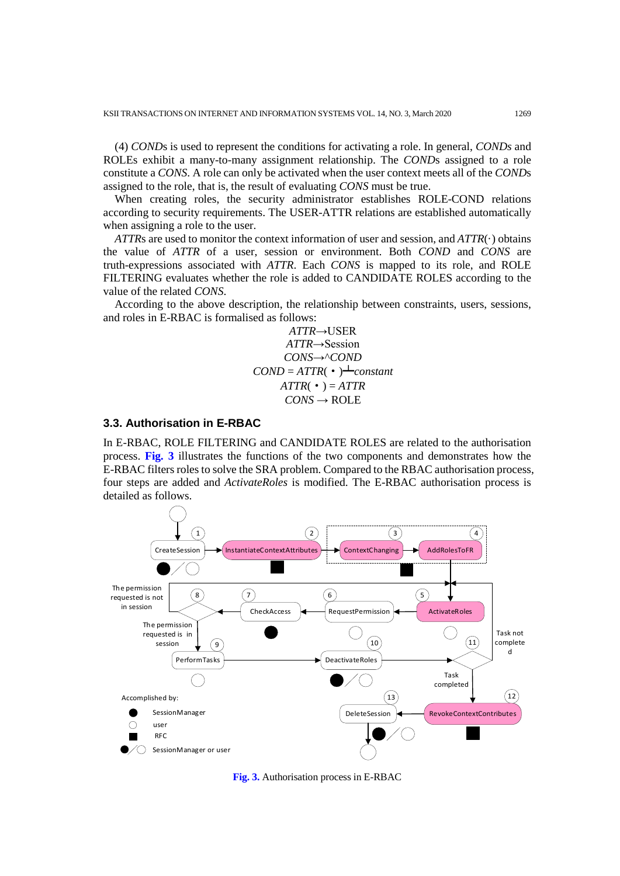(4) *COND*s is used to represent the conditions for activating a role. In general, *CONDs* and ROLEs exhibit a many-to-many assignment relationship. The *COND*s assigned to a role constitute a *CONS*. A role can only be activated when the user context meets all of the *COND*s assigned to the role, that is, the result of evaluating *CONS* must be true.

When creating roles, the security administrator establishes ROLE-COND relations according to security requirements. The USER-ATTR relations are established automatically when assigning a role to the user.

*ATTR*s are used to monitor the context information of user and session, and *ATTR*(·) obtains the value of *ATTR* of a user, session or environment. Both *COND* and *CONS* are truth-expressions associated with *ATTR*. Each *CONS* is mapped to its role, and ROLE FILTERING evaluates whether the role is added to CANDIDATE ROLES according to the value of the related *CONS*.

According to the above description, the relationship between constraints, users, sessions, and roles in E-RBAC is formalised as follows:

> *ATTR*→USER *ATTR*→Session *CONS*→^*COND*  $COMP = AITR$ ( $\cdot$ ) $\rightarrow$ *constant*  $ATTR( • ) = ATTR$  $CONS \rightarrow ROLE$

#### **3.3. Authorisation in E-RBAC**

In E-RBAC, ROLE FILTERING and CANDIDATE ROLES are related to the authorisation process. **Fig. 3** illustrates the functions of the two components and demonstrates how the E-RBAC filters roles to solve the SRA problem. Compared to the RBAC authorisation process, four steps are added and *ActivateRoles* is modified. The E-RBAC authorisation process is detailed as follows.



**Fig. 3.** Authorisation process in E-RBAC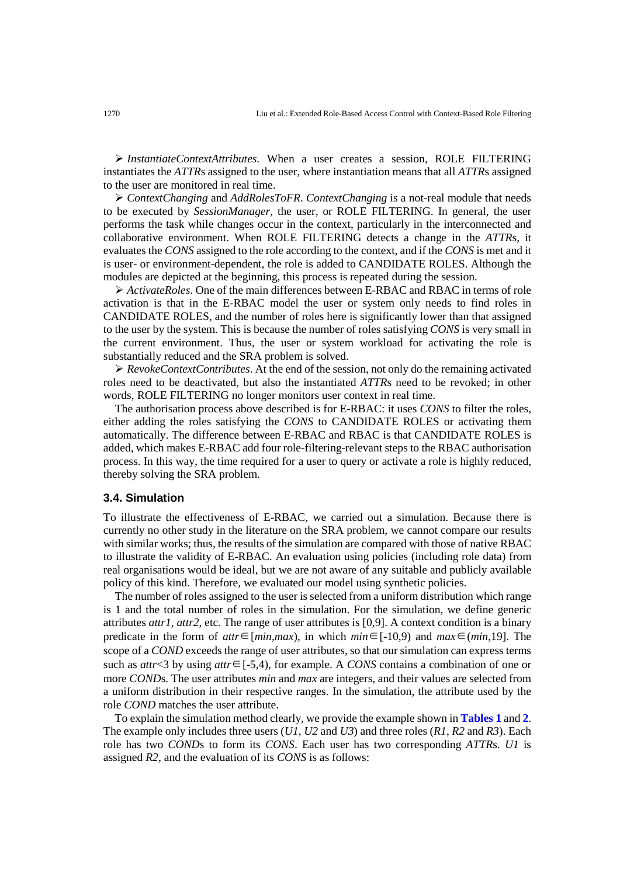*InstantiateContextAttributes*. When a user creates a session, ROLE FILTERING instantiates the *ATTR*s assigned to the user, where instantiation means that all *ATTR*s assigned to the user are monitored in real time.

 *ContextChanging* and *AddRolesToFR*. *ContextChanging* is a not-real module that needs to be executed by *SessionManager*, the user, or ROLE FILTERING. In general, the user performs the task while changes occur in the context, particularly in the interconnected and collaborative environment. When ROLE FILTERING detects a change in the *ATTR*s, it evaluates the *CONS* assigned to the role according to the context, and if the *CONS* is met and it is user- or environment-dependent, the role is added to CANDIDATE ROLES. Although the modules are depicted at the beginning, this process is repeated during the session.

 *ActivateRoles*. One of the main differences between E-RBAC and RBAC in terms of role activation is that in the E-RBAC model the user or system only needs to find roles in CANDIDATE ROLES, and the number of roles here is significantly lower than that assigned to the user by the system. This is because the number of roles satisfying *CONS* is very small in the current environment. Thus, the user or system workload for activating the role is substantially reduced and the SRA problem is solved.

 *RevokeContextContributes*. At the end of the session, not only do the remaining activated roles need to be deactivated, but also the instantiated *ATTR*s need to be revoked; in other words, ROLE FILTERING no longer monitors user context in real time.

The authorisation process above described is for E-RBAC: it uses *CONS* to filter the roles, either adding the roles satisfying the *CONS* to CANDIDATE ROLES or activating them automatically. The difference between E-RBAC and RBAC is that CANDIDATE ROLES is added, which makes E-RBAC add four role-filtering-relevant steps to the RBAC authorisation process. In this way, the time required for a user to query or activate a role is highly reduced, thereby solving the SRA problem.

## **3.4. Simulation**

To illustrate the effectiveness of E-RBAC, we carried out a simulation. Because there is currently no other study in the literature on the SRA problem, we cannot compare our results with similar works; thus, the results of the simulation are compared with those of native RBAC to illustrate the validity of E-RBAC. An evaluation using policies (including role data) from real organisations would be ideal, but we are not aware of any suitable and publicly available policy of this kind. Therefore, we evaluated our model using synthetic policies.

The number of roles assigned to the user is selected from a uniform distribution which range is 1 and the total number of roles in the simulation. For the simulation, we define generic attributes *attr1*, *attr2*, etc. The range of user attributes is [0,9]. A context condition is a binary predicate in the form of *attr*∈[*min,max*), in which *min*∈[-10,9) and *max*∈(*min*,19]. The scope of a *COND* exceeds the range of user attributes, so that our simulation can express terms such as *attr*<3 by using *attr*∈[-5,4), for example. A *CONS* contains a combination of one or more *COND*s. The user attributes *min* and *max* are integers, and their values are selected from a uniform distribution in their respective ranges. In the simulation, the attribute used by the role *COND* matches the user attribute.

To explain the simulation method clearly, we provide the example shown in **Tables 1** and **2**. The example only includes three users (*U1*, *U2* and *U3*) and three roles (*R1*, *R2* and *R3*). Each role has two *COND*s to form its *CONS*. Each user has two corresponding *ATTR*s. *U1* is assigned *R2*, and the evaluation of its *CONS* is as follows: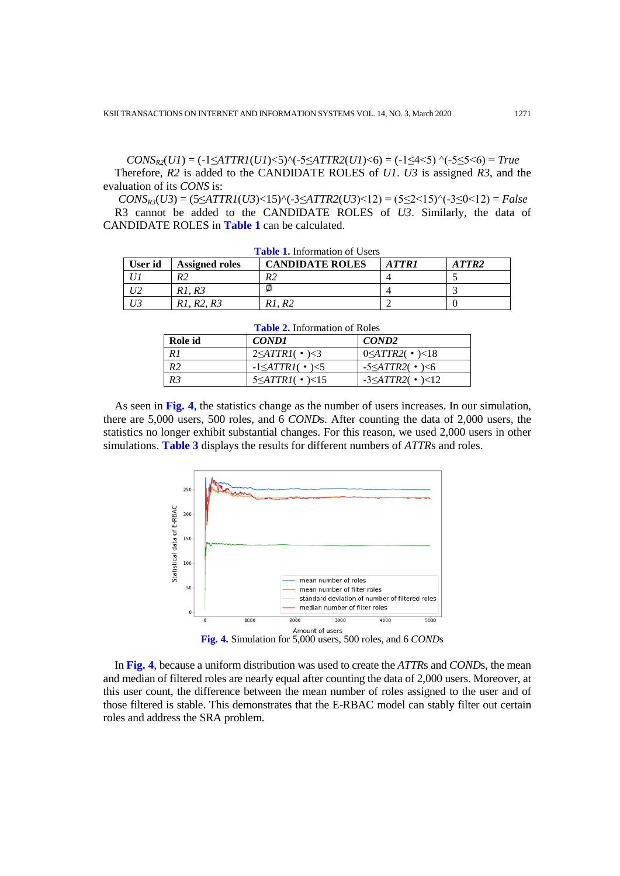$CONS_{R2}(UI) = (-1 \leq \text{ATTR1}(UI) < 5) \cdot (-5 \leq \text{ATTR2}(UI) < 6) = (-1 \leq 4 < 5) \cdot (-5 \leq 5 < 6) = True$ Therefore, *R2* is added to the CANDIDATE ROLES of *U1*. *U3* is assigned *R3*, and the evaluation of its *CONS* is:

 $CONS_{R3}(U3) = (5 \leq ATTR1(U3) < 15)$ <sup> $\land$ </sup> $(-3 \leq ATTR2(U3) < 12) = (5 \leq 2 < 15)$  $\land$  $(-3 \leq 0 < 12) = False$ R3 cannot be added to the CANDIDATE ROLES of *U3*. Similarly, the data of CANDIDATE ROLES in **Table 1** can be calculated.

| User id | <b>Assigned roles</b> | <b>CANDIDATE ROLES</b> | ATTR1 | ATTR2 |
|---------|-----------------------|------------------------|-------|-------|
|         | R٦                    | R2                     |       |       |
|         | R1.R3                 |                        |       |       |
|         | R1. R2. R3            | R <sub>2</sub>         |       |       |

**Table 1.** Information of Users

| <b>Table 2.</b> Information of Roles |                                     |                                |  |  |  |  |  |
|--------------------------------------|-------------------------------------|--------------------------------|--|--|--|--|--|
| Role id                              | COND1                               | COND <sub>2</sub>              |  |  |  |  |  |
| R1                                   | $2 \leq \text{ATTR1}(\cdot) \leq 3$ | $0 \leq ATTR2$ ( • $\geq 18$ ) |  |  |  |  |  |
| R2                                   | $-1 \leq \text{ATTR1}$ ( • $\leq 5$ | $-5 \leq ATTR2$ ( • $\geq 6$ ) |  |  |  |  |  |
| R <sub>3</sub>                       | $5 \leq \text{ATTR1}$ ( • $\geq 15$ | $-3 \leq ATTR2$ ( • $) < 12$   |  |  |  |  |  |

As seen in **Fig. 4**, the statistics change as the number of users increases. In our simulation, there are 5,000 users, 500 roles, and 6 *COND*s. After counting the data of 2,000 users, the statistics no longer exhibit substantial changes. For this reason, we used 2,000 users in other simulations. **Table 3** displays the results for different numbers of *ATTR*s and roles.



In **Fig. 4**, because a uniform distribution was used to create the *ATTR*s and *COND*s, the mean and median of filtered roles are nearly equal after counting the data of 2,000 users. Moreover, at this user count, the difference between the mean number of roles assigned to the user and of those filtered is stable. This demonstrates that the E-RBAC model can stably filter out certain roles and address the SRA problem.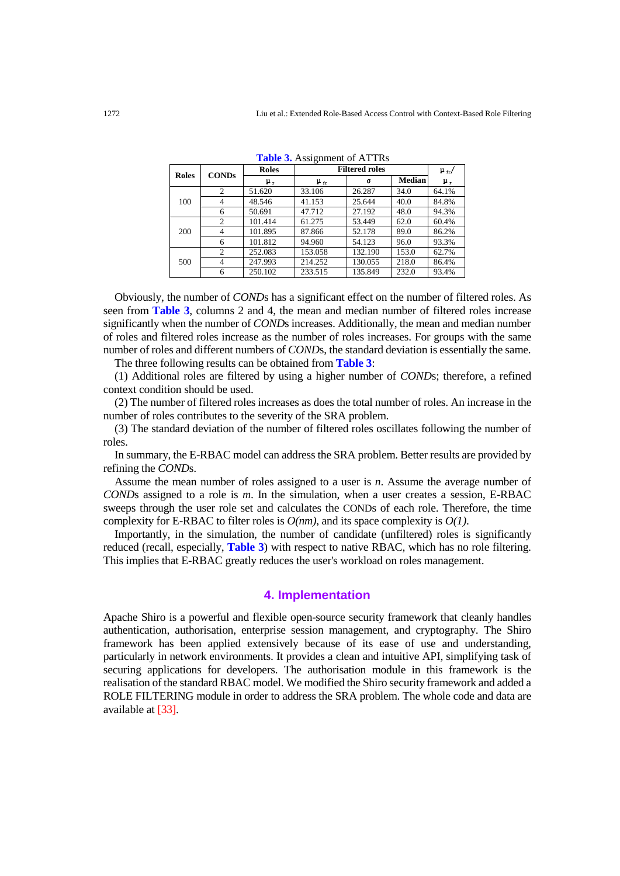| <b>Roles</b> | <b>CONDs</b>   | <b>Roles</b> | <b>Filtered roles</b> |         | $\mu_{\rm fr}/$ |       |
|--------------|----------------|--------------|-----------------------|---------|-----------------|-------|
|              |                | μ,           | $\mu_{tr}$            | σ       | <b>Median</b>   | μ,    |
| 100          | 2              | 51.620       | 33.106                | 26.287  | 34.0            | 64.1% |
|              | 4              | 48.546       | 41.153                | 25.644  | 40.0            | 84.8% |
|              | 6              | 50.691       | 47.712                | 27.192  | 48.0            | 94.3% |
| 200          | 2              | 101.414      | 61.275                | 53.449  | 62.0            | 60.4% |
|              | 4              | 101.895      | 87.866                | 52.178  | 89.0            | 86.2% |
|              | 6              | 101.812      | 94.960                | 54.123  | 96.0            | 93.3% |
| 500          | 2              | 252.083      | 153.058               | 132.190 | 153.0           | 62.7% |
|              | $\overline{4}$ | 247.993      | 214.252               | 130.055 | 218.0           | 86.4% |
|              | 6              | 250.102      | 233.515               | 135.849 | 232.0           | 93.4% |

**Table 3.** Assignment of ATTRs

Obviously, the number of *COND*s has a significant effect on the number of filtered roles. As seen from **Table 3**, columns 2 and 4, the mean and median number of filtered roles increase significantly when the number of *COND*s increases. Additionally, the mean and median number of roles and filtered roles increase as the number of roles increases. For groups with the same number of roles and different numbers of *COND*s, the standard deviation is essentially the same.

The three following results can be obtained from **Table 3**:

(1) Additional roles are filtered by using a higher number of *COND*s; therefore, a refined context condition should be used.

(2) The number of filtered roles increases as does the total number of roles. An increase in the number of roles contributes to the severity of the SRA problem.

(3) The standard deviation of the number of filtered roles oscillates following the number of roles.

In summary, the E-RBAC model can address the SRA problem. Better results are provided by refining the *COND*s.

Assume the mean number of roles assigned to a user is *n*. Assume the average number of *COND*s assigned to a role is *m*. In the simulation, when a user creates a session, E-RBAC sweeps through the user role set and calculates the CONDs of each role. Therefore, the time complexity for E-RBAC to filter roles is *O(nm)*, and its space complexity is *O(1)*.

Importantly, in the simulation, the number of candidate (unfiltered) roles is significantly reduced (recall, especially, **Table 3**) with respect to native RBAC, which has no role filtering. This implies that E-RBAC greatly reduces the user's workload on roles management.

## **4. Implementation**

Apache Shiro is a powerful and flexible open-source security framework that cleanly handles authentication, authorisation, enterprise session management, and cryptography. The Shiro framework has been applied extensively because of its ease of use and understanding, particularly in network environments. It provides a clean and intuitive API, simplifying task of securing applications for developers. The authorisation module in this framework is the realisation of the standard RBAC model. We modified the Shiro security framework and added a ROLE FILTERING module in order to address the SRA problem. The whole code and data are available at [\[33\].](#page-15-10)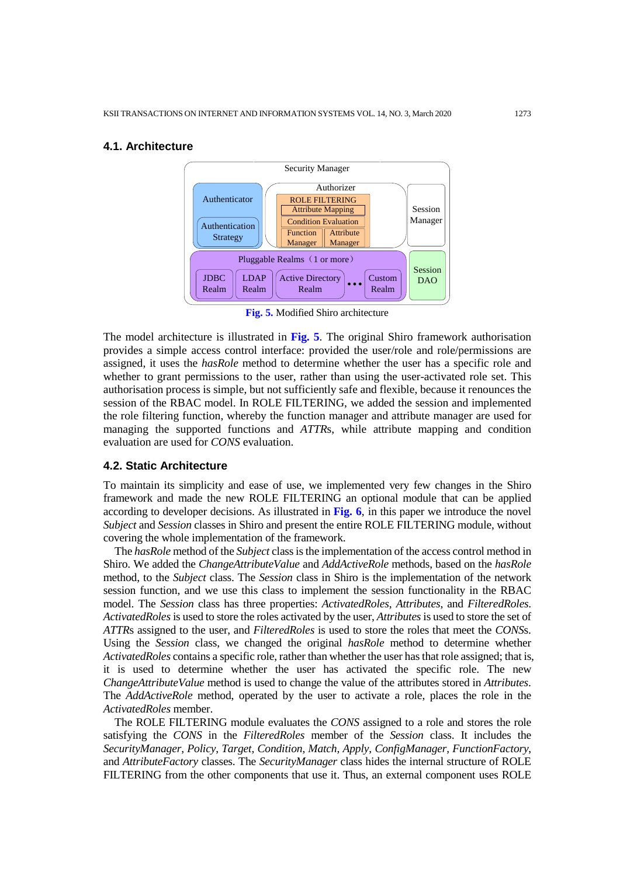#### **4.1. Architecture**



**Fig. 5.** Modified Shiro architecture

The model architecture is illustrated in **Fig. 5**. The original Shiro framework authorisation provides a simple access control interface: provided the user/role and role/permissions are assigned, it uses the *hasRole* method to determine whether the user has a specific role and whether to grant permissions to the user, rather than using the user-activated role set. This authorisation process is simple, but not sufficiently safe and flexible, because it renounces the session of the RBAC model. In ROLE FILTERING, we added the session and implemented the role filtering function, whereby the function manager and attribute manager are used for managing the supported functions and *ATTR*s, while attribute mapping and condition evaluation are used for *CONS* evaluation.

## **4.2. Static Architecture**

To maintain its simplicity and ease of use, we implemented very few changes in the Shiro framework and made the new ROLE FILTERING an optional module that can be applied according to developer decisions. As illustrated in **Fig. 6**, in this paper we introduce the novel *Subject* and *Session* classes in Shiro and present the entire ROLE FILTERING module, without covering the whole implementation of the framework.

The *hasRole* method of the *Subject* class is the implementation of the access control method in Shiro. We added the *ChangeAttributeValue* and *AddActiveRole* methods, based on the *hasRole* method, to the *Subject* class. The *Session* class in Shiro is the implementation of the network session function, and we use this class to implement the session functionality in the RBAC model. The *Session* class has three properties: *ActivatedRoles*, *Attributes*, and *FilteredRoles*. *ActivatedRoles* is used to store the roles activated by the user, *Attributes* is used to store the set of *ATTR*s assigned to the user, and *FilteredRoles* is used to store the roles that meet the *CONS*s. Using the *Session* class, we changed the original *hasRole* method to determine whether *ActivatedRoles* contains a specific role, rather than whether the user has that role assigned; that is, it is used to determine whether the user has activated the specific role. The new *ChangeAttributeValue* method is used to change the value of the attributes stored in *Attributes*. The *AddActiveRole* method, operated by the user to activate a role, places the role in the *ActivatedRoles* member.

The ROLE FILTERING module evaluates the *CONS* assigned to a role and stores the role satisfying the *CONS* in the *FilteredRoles* member of the *Session* class. It includes the *SecurityManager*, *Policy*, *Target*, *Condition*, *Match*, *Apply*, *ConfigManager*, *FunctionFactory*, and *AttributeFactory* classes. The *SecurityManager* class hides the internal structure of ROLE FILTERING from the other components that use it. Thus, an external component uses ROLE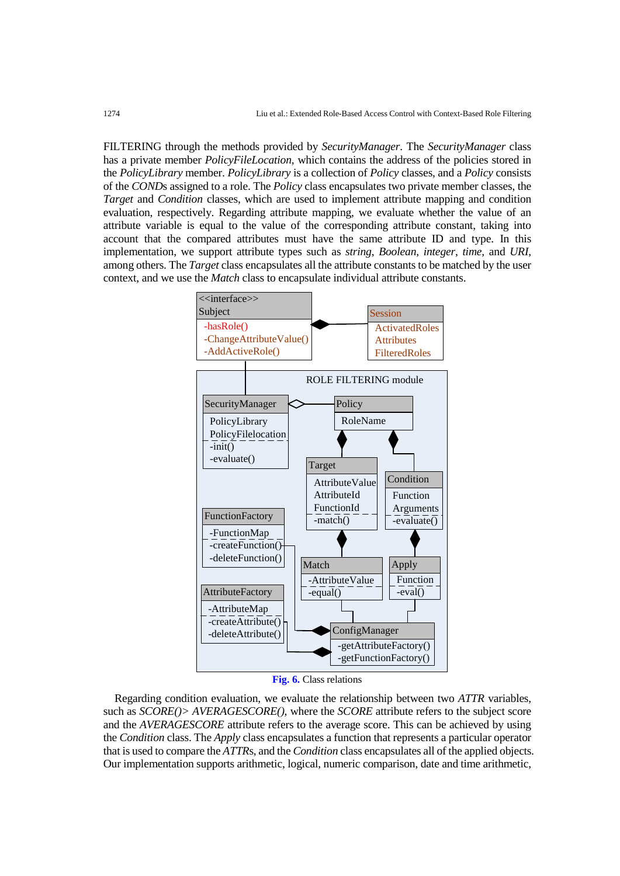FILTERING through the methods provided by *SecurityManager*. The *SecurityManager* class has a private member *PolicyFileLocation*, which contains the address of the policies stored in the *PolicyLibrary* member. *PolicyLibrary* is a collection of *Policy* classes, and a *Policy* consists of the *COND*s assigned to a role. The *Policy* class encapsulates two private member classes, the *Target* and *Condition* classes, which are used to implement attribute mapping and condition evaluation, respectively. Regarding attribute mapping, we evaluate whether the value of an attribute variable is equal to the value of the corresponding attribute constant, taking into account that the compared attributes must have the same attribute ID and type. In this implementation, we support attribute types such as *string*, *Boolean*, *integer*, *time*, and *URI*, among others. The *Target* class encapsulates all the attribute constants to be matched by the user context, and we use the *Match* class to encapsulate individual attribute constants.



**Fig. 6.** Class relations

Regarding condition evaluation, we evaluate the relationship between two *ATTR* variables, such as *SCORE()> AVERAGESCORE()*, where the *SCORE* attribute refers to the subject score and the *AVERAGESCORE* attribute refers to the average score. This can be achieved by using the *Condition* class. The *Apply* class encapsulates a function that represents a particular operator that is used to compare the *ATTR*s, and the *Condition* class encapsulates all of the applied objects. Our implementation supports arithmetic, logical, numeric comparison, date and time arithmetic,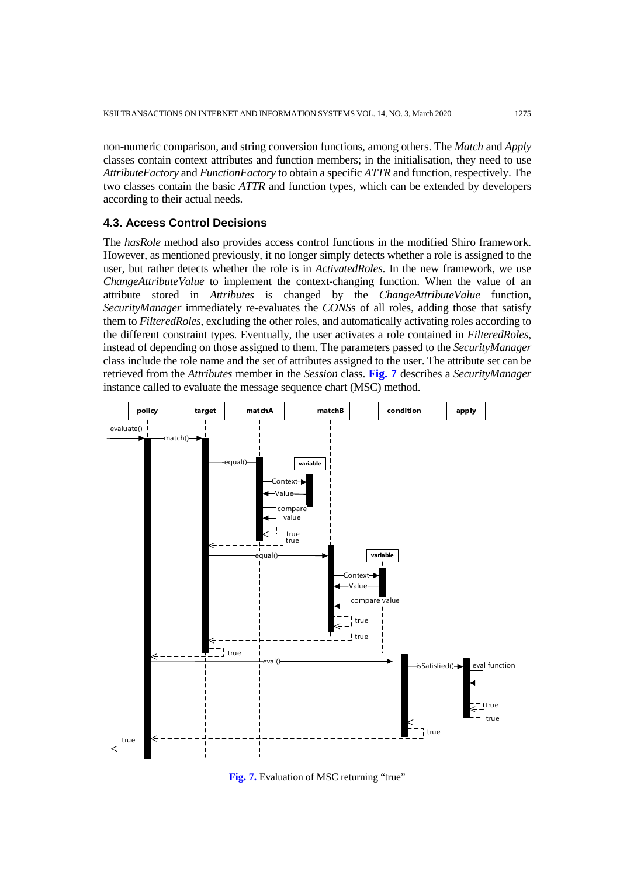non-numeric comparison, and string conversion functions, among others. The *Match* and *Apply* classes contain context attributes and function members; in the initialisation, they need to use *AttributeFactory* and *FunctionFactory* to obtain a specific *ATTR* and function, respectively. The two classes contain the basic *ATTR* and function types, which can be extended by developers according to their actual needs.

## **4.3. Access Control Decisions**

The *hasRole* method also provides access control functions in the modified Shiro framework. However, as mentioned previously, it no longer simply detects whether a role is assigned to the user, but rather detects whether the role is in *ActivatedRoles*. In the new framework, we use *ChangeAttributeValue* to implement the context-changing function. When the value of an attribute stored in *Attributes* is changed by the *ChangeAttributeValue* function, *SecurityManager* immediately re-evaluates the *CONS*s of all roles, adding those that satisfy them to *FilteredRoles*, excluding the other roles, and automatically activating roles according to the different constraint types. Eventually, the user activates a role contained in *FilteredRoles*, instead of depending on those assigned to them. The parameters passed to the *SecurityManager* class include the role name and the set of attributes assigned to the user. The attribute set can be retrieved from the *Attributes* member in the *Session* class. **Fig. 7** describes a *SecurityManager* instance called to evaluate the message sequence chart (MSC) method.



**Fig. 7.** Evaluation of MSC returning "true"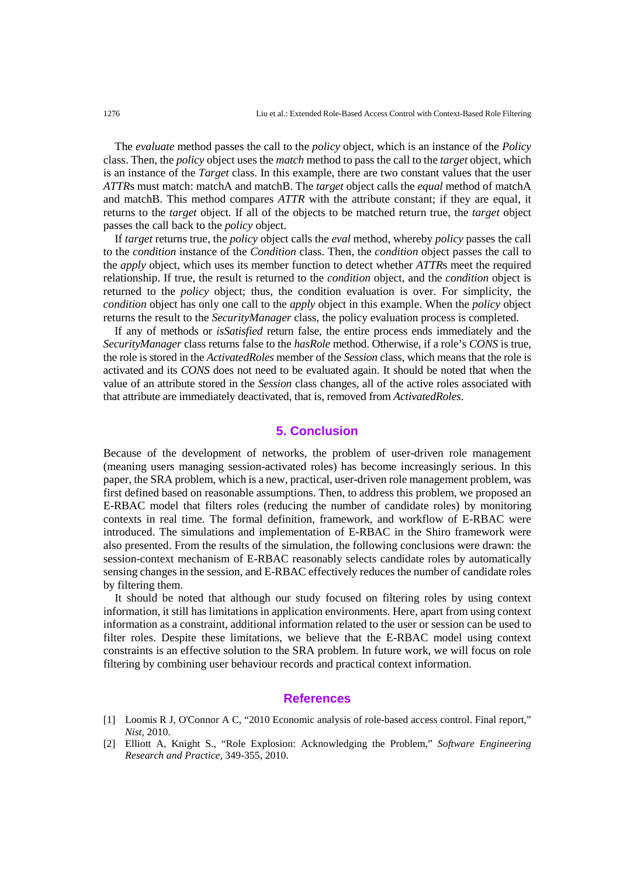The *evaluate* method passes the call to the *policy* object, which is an instance of the *Policy*  class. Then, the *policy* object uses the *match* method to pass the call to the *target* object, which is an instance of the *Target* class. In this example, there are two constant values that the user *ATTR*s must match: matchA and matchB. The *target* object calls the *equal* method of matchA and matchB. This method compares *ATTR* with the attribute constant; if they are equal, it returns to the *target* object. If all of the objects to be matched return true, the *target* object passes the call back to the *policy* object.

If *target* returns true, the *policy* object calls the *eval* method, whereby *policy* passes the call to the *condition* instance of the *Condition* class. Then, the *condition* object passes the call to the *apply* object, which uses its member function to detect whether *ATTR*s meet the required relationship. If true, the result is returned to the *condition* object, and the *condition* object is returned to the *policy* object; thus, the condition evaluation is over. For simplicity, the *condition* object has only one call to the *apply* object in this example. When the *policy* object returns the result to the *SecurityManager* class, the policy evaluation process is completed.

If any of methods or *isSatisfied* return false, the entire process ends immediately and the *SecurityManager* class returns false to the *hasRole* method. Otherwise, if a role's *CONS* is true, the role is stored in the *ActivatedRoles* member of the *Session* class, which means that the role is activated and its *CONS* does not need to be evaluated again. It should be noted that when the value of an attribute stored in the *Session* class changes, all of the active roles associated with that attribute are immediately deactivated, that is, removed from *ActivatedRoles*.

# **5. Conclusion**

Because of the development of networks, the problem of user-driven role management (meaning users managing session-activated roles) has become increasingly serious. In this paper, the SRA problem, which is a new, practical, user-driven role management problem, was first defined based on reasonable assumptions. Then, to address this problem, we proposed an E-RBAC model that filters roles (reducing the number of candidate roles) by monitoring contexts in real time. The formal definition, framework, and workflow of E-RBAC were introduced. The simulations and implementation of E-RBAC in the Shiro framework were also presented. From the results of the simulation, the following conclusions were drawn: the session-context mechanism of E-RBAC reasonably selects candidate roles by automatically sensing changes in the session, and E-RBAC effectively reduces the number of candidate roles by filtering them.

It should be noted that although our study focused on filtering roles by using context information, it still has limitations in application environments. Here, apart from using context information as a constraint, additional information related to the user or session can be used to filter roles. Despite these limitations, we believe that the E-RBAC model using context constraints is an effective solution to the SRA problem. In future work, we will focus on role filtering by combining user behaviour records and practical context information.

## **References**

<span id="page-13-0"></span>[1] Loomis R J, O'Connor A C, "2010 Economic analysis of role-based access control. Final report," *Nist*, 2010.

<span id="page-13-1"></span><sup>[2]</sup> Elliott A, Knight S., "Role Explosion: Acknowledging the Problem," *Software Engineering Research and Practice*, 349-355, 2010.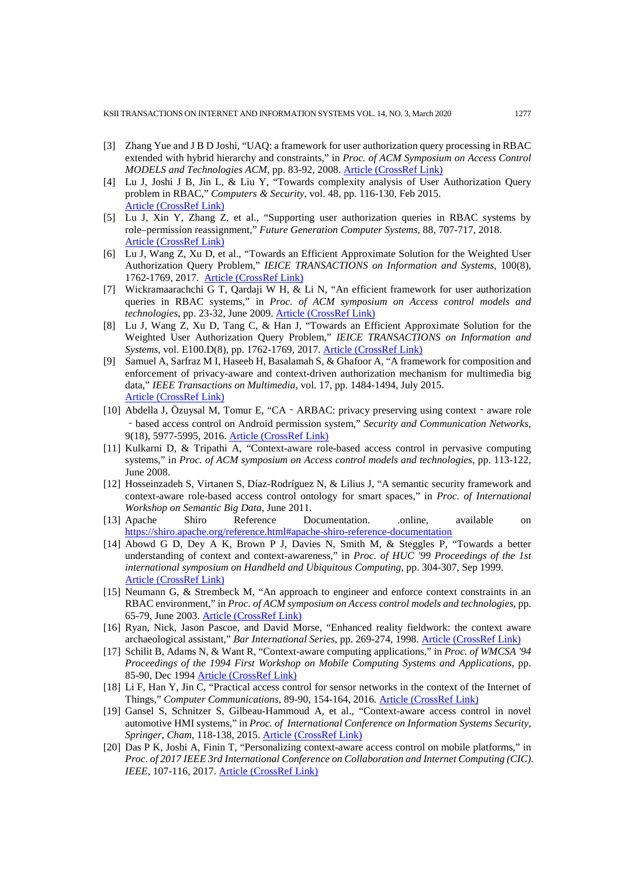- <span id="page-14-3"></span>[3] Zhang Yue and J B D Joshi, "UAQ: a framework for user authorization query processing in RBAC extended with hybrid hierarchy and constraints," in *Proc. of ACM Symposium on Access Control MODELS and Technologies ACM*, pp. 83-92, 2008. [Article \(CrossRef Link\)](http://dx.doi.org/%20doi:%2010.1145/1377836.1377850)
- <span id="page-14-4"></span>[4] Lu J, Joshi J B, Jin L, & Liu Y, "Towards complexity analysis of User Authorization Query problem in RBAC," *Computers & Security*, vol. 48, pp. 116-130, Feb 2015. [Article \(CrossRef Link\)](http://dx.doi.org/doi:%2010.1016/j.cose.2014.10.003)
- [5] Lu J, Xin Y, Zhang Z, et al., "Supporting user authorization queries in RBAC systems by role–permission reassignment," *Future Generation Computer Systems*, 88, 707-717, 2018. [Article \(CrossRef Link\)](https://doi.org/10.1016/j.future.2018.01.010)
- [6] Lu J, Wang Z, Xu D, et al., "Towards an Efficient Approximate Solution for the Weighted User Authorization Query Problem," *IEICE TRANSACTIONS on Information and Systems*, 100(8), 1762-1769, 2017. [Article \(CrossRef Link\)](http://dx.doi.org/doi:%2010.1587/transinf.2016ICP0002)
- [7] Wickramaarachchi G T, Qardaji W H, & Li N, "An efficient framework for user authorization queries in RBAC systems," in *Proc. of ACM symposium on Access control models and technologies*, pp. 23-32, June 2009. [Article \(CrossRef Link\)](http://dx.doi.org/doi:%2010.1145/1542207.1542213)
- <span id="page-14-5"></span>[8] Lu J, Wang Z, Xu D, Tang C, & Han J, "Towards an Efficient Approximate Solution for the Weighted User Authorization Query Problem," *IEICE TRANSACTIONS on Information and Systems*, vol. E100.D(8), pp. 1762-1769, 2017[. Article \(CrossRef Link\)](http://dx.doi.org/doi:%2010.1587/transinf.2016ICP0002)
- <span id="page-14-1"></span>[9] Samuel A, Sarfraz M I, Haseeb H, Basalamah S, & Ghafoor A, "A framework for composition and enforcement of privacy-aware and context-driven authorization mechanism for multimedia big data," *IEEE Transactions on Multimedia*, vol. 17, pp. 1484-1494, July 2015. [Article \(CrossRef Link\)](http://dx.doi.org/doi:%2010.1109/TMM.2015.2458299)
- <span id="page-14-0"></span>[10] Abdella J, Özuysal M, Tomur E, "CA‐ARBAC: privacy preserving using context‐aware role ‐based access control on Android permission system," *Security and Communication Networks*, 9(18), 5977-5995, 2016. [Article \(CrossRef Link\)](http://dx.doi.org/doi:%2010.1002/sec.1750)
- [11] Kulkarni D, & Tripathi A, "Context-aware role-based access control in pervasive computing systems," in *Proc. of ACM symposium on Access control models and technologies*, pp. 113-122, June 2008.
- <span id="page-14-2"></span>[12] Hosseinzadeh S, Virtanen S, Díaz-Rodríguez N, & Lilius J, "A semantic security framework and context-aware role-based access control ontology for smart spaces," in *Proc. of International Workshop on Semantic Big Data*, June 2011.
- <span id="page-14-6"></span>[13] Apache Shiro Reference Documentation. .online, available on [https://shiro.apache.org/reference.html#apache-shiro-reference-documentation](https://shiro.apache.org/reference.html%23apache-shiro-reference-documentation)
- <span id="page-14-7"></span>[14] Abowd G D, Dey A K, Brown P J, Davies N, Smith M, & Steggles P, "Towards a better understanding of context and context-awareness," in *Proc. of HUC '99 Proceedings of the 1st international symposium on Handheld and Ubiquitous Computing*, pp. 304-307, Sep 1999. [Article \(CrossRef Link\)](https://doi.org/10.1007/3-540-48157-5_29)
- [15] Neumann G, & Strembeck M, "An approach to engineer and enforce context constraints in an RBAC environment," in *Proc. of ACM symposium on Access control models and technologies*, pp. 65-79, June 2003. [Article \(CrossRef Link\)](http://dx.doi.org/doi:10.1145/775412.775421)
- <span id="page-14-8"></span>[16] Ryan, Nick, Jason Pascoe, and David Morse, "Enhanced reality fieldwork: the context aware archaeological assistant," *Bar International Series*, pp. 269-274, 1998. [Article \(CrossRef Link\)](https://core.ac.uk/display/63189)
- [17] Schilit B, Adams N, & Want R, "Context-aware computing applications," in *Proc. of WMCSA '94 Proceedings of the 1994 First Workshop on Mobile Computing Systems and Applications*, pp. 85-90, Dec 199[4 Article \(CrossRef Link\)](http://dx.doi.org/doi:10.1109/WMCSA.1994.16)
- <span id="page-14-9"></span>[18] Li F, Han Y, Jin C, "Practical access control for sensor networks in the context of the Internet of Things," *Computer Communications*, 89-90, 154-164, 2016. [Article \(CrossRef Link\)](http://dx.doi.org/doi:10.1016/j.comcom.2016.03.007)
- <span id="page-14-10"></span>[19] Gansel S, Schnitzer S, Gilbeau-Hammoud A, et al., "Context-aware access control in novel automotive HMI systems," in *Proc. of International Conference on Information Systems Security, Springer, Cham*, 118-138, 2015[. Article \(CrossRef Link\)](http://dx.doi.org/doi:10.1007/978-3-319-26961-0_8)
- <span id="page-14-11"></span>[20] Das P K, Joshi A, Finin T, "Personalizing context-aware access control on mobile platforms," in *Proc. of 2017 IEEE 3rd International Conference on Collaboration and Internet Computing (CIC). IEEE*, 107-116, 2017. [Article \(CrossRef Link\)](https://dx.doi.org/doi:10.1109/CIC.2017.00025)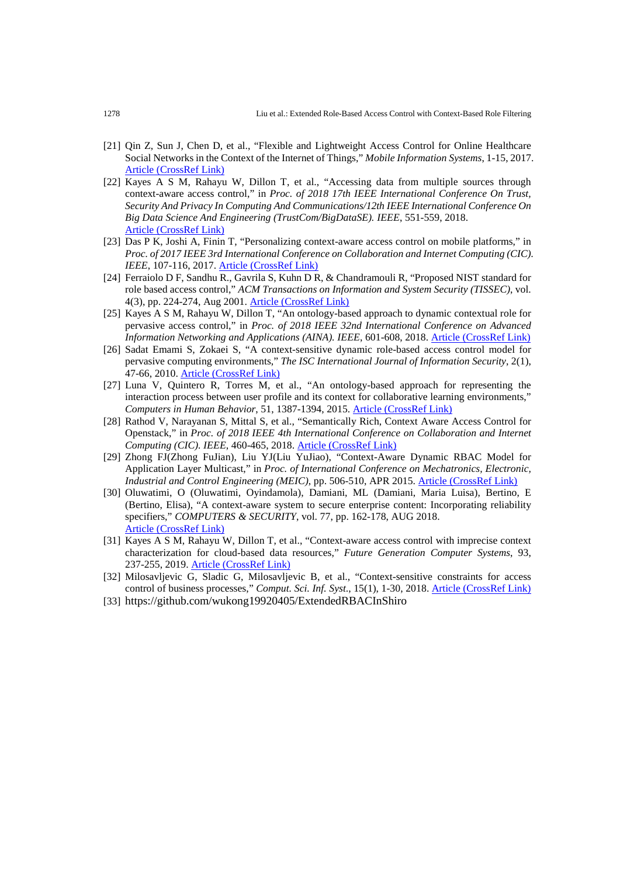- <span id="page-15-0"></span>[21] Qin Z, Sun J, Chen D, et al., "Flexible and Lightweight Access Control for Online Healthcare Social Networks in the Context of the Internet of Things," *Mobile Information Systems*, 1-15, 2017. [Article \(CrossRef Link\)](http://dx.doi.org/doi:10.1155/2017/7514867)
- <span id="page-15-1"></span>[22] Kayes A S M, Rahayu W, Dillon T, et al., "Accessing data from multiple sources through context-aware access control," in *Proc. of 2018 17th IEEE International Conference On Trust, Security And Privacy In Computing And Communications/12th IEEE International Conference On Big Data Science And Engineering (TrustCom/BigDataSE). IEEE*, 551-559, 2018. [Article \(CrossRef Link\)](http://dx.doi.org/doi:10.1109/TrustCom/BigDataSE.2018.00084)
- <span id="page-15-2"></span>[23] Das P K, Joshi A, Finin T, "Personalizing context-aware access control on mobile platforms," in *Proc. of 2017 IEEE 3rd International Conference on Collaboration and Internet Computing (CIC). IEEE*, 107-116, 2017. [Article \(CrossRef Link\)](http://dx.doi.org/doi:10.1109/CIC.2017.00025)
- <span id="page-15-9"></span>[24] Ferraiolo D F, Sandhu R., Gavrila S, Kuhn D R, & Chandramouli R, "Proposed NIST standard for role based access control," *ACM Transactions on Information and System Security (TISSEC)*, vol. 4(3), pp. 224-274, Aug 2001. [Article \(CrossRef Link\)](http://dx.doi.org/doi:10.1145/501978.501980)
- <span id="page-15-3"></span>[25] Kayes A S M, Rahayu W, Dillon T, "An ontology-based approach to dynamic contextual role for pervasive access control," in *Proc. of 2018 IEEE 32nd International Conference on Advanced Information Networking and Applications (AINA). IEEE*, 601-608, 2018. [Article \(CrossRef Link\)](http://dx.doi.org/doi:10.1109/AINA.2018.00093)
- <span id="page-15-5"></span>[26] Sadat Emami S, Zokaei S, "A context-sensitive dynamic role-based access control model for pervasive computing environments," *The ISC International Journal of Information Security*, 2(1), 47-66, 2010. [Article \(CrossRef Link\)](https://core.ac.uk/display/102498767)
- [27] Luna V, Quintero R, Torres M, et al., "An ontology-based approach for representing the interaction process between user profile and its context for collaborative learning environments," *Computers in Human Behavior*, 51, 1387-1394, 2015. [Article \(CrossRef Link\)](http://dx.doi.org/doi:10.1016/j.chb.2014.10.004)
- <span id="page-15-6"></span>[28] Rathod V, Narayanan S, Mittal S, et al., "Semantically Rich, Context Aware Access Control for Openstack," in *Proc. of 2018 IEEE 4th International Conference on Collaboration and Internet Computing (CIC). IEEE*, 460-465, 2018. [Article \(CrossRef Link\)](http://dx.doi.org/doi:10.1109/CIC.2018.00069)
- <span id="page-15-7"></span>[29] Zhong FJ(Zhong FuJian), Liu YJ(Liu YuJiao), "Context-Aware Dynamic RBAC Model for Application Layer Multicast," in *Proc. of International Conference on Mechatronics, Electronic, Industrial and Control Engineering (MEIC)*, pp. 506-510, APR 2015[. Article \(CrossRef Link\)](http://dx.doi.org/doi:10.2991/meic-15.2015.117)
- <span id="page-15-8"></span>[30] Oluwatimi, O (Oluwatimi, Oyindamola), Damiani, ML (Damiani, Maria Luisa), Bertino, E (Bertino, Elisa), "A context-aware system to secure enterprise content: Incorporating reliability specifiers," *COMPUTERS & SECURITY*, vol. 77, pp. 162-178, AUG 2018. [Article \(CrossRef Link\)](http://dx.doi.org/doi:10.1016/j.cose.2018.04.001)
- [31] Kayes A S M, Rahayu W, Dillon T, et al., "Context-aware access control with imprecise context characterization for cloud-based data resources," *Future Generation Computer Systems*, 93, 237-255, 2019. [Article \(CrossRef Link\)](http://dx.doi.org/doi:10.1016/j.future.2018.10.036)
- <span id="page-15-4"></span>[32] Milosavljevic G, Sladic G, Milosavljevic B, et al., "Context-sensitive constraints for access control of business processes," *Comput. Sci. Inf. Syst*., 15(1), 1-30, 2018. [Article \(CrossRef Link\)](http://dx.doi.org/doi:10.2298/CSIS160628037M)
- <span id="page-15-10"></span>[33] https://github.com/wukong19920405/ExtendedRBACInShiro